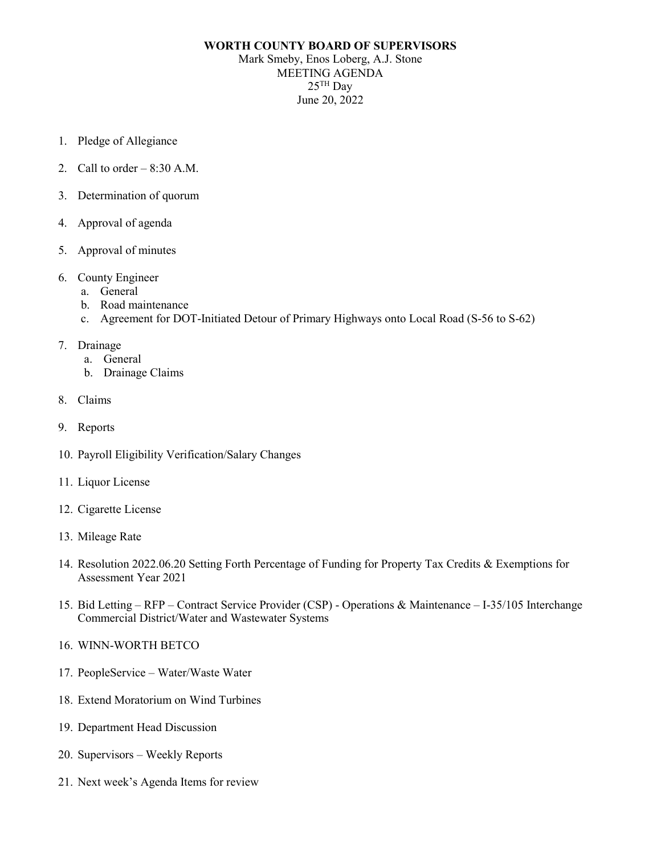## **WORTH COUNTY BOARD OF SUPERVISORS** Mark Smeby, Enos Loberg, A.J. Stone MEETING AGENDA  $25$ <sup>TH</sup> Day June 20, 2022

- 1. Pledge of Allegiance
- 2. Call to order  $-8:30$  A.M.
- 3. Determination of quorum
- 4. Approval of agenda
- 5. Approval of minutes
- 6. County Engineer
	- a. General
	- b. Road maintenance
	- c. Agreement for DOT-Initiated Detour of Primary Highways onto Local Road (S-56 to S-62)
- 7. Drainage
	- a. General
	- b. Drainage Claims
- 8. Claims
- 9. Reports
- 10. Payroll Eligibility Verification/Salary Changes
- 11. Liquor License
- 12. Cigarette License
- 13. Mileage Rate
- 14. Resolution 2022.06.20 Setting Forth Percentage of Funding for Property Tax Credits & Exemptions for Assessment Year 2021
- 15. Bid Letting RFP Contract Service Provider (CSP) Operations & Maintenance I-35/105 Interchange Commercial District/Water and Wastewater Systems
- 16. WINN-WORTH BETCO
- 17. PeopleService Water/Waste Water
- 18. Extend Moratorium on Wind Turbines
- 19. Department Head Discussion
- 20. Supervisors Weekly Reports
- 21. Next week's Agenda Items for review